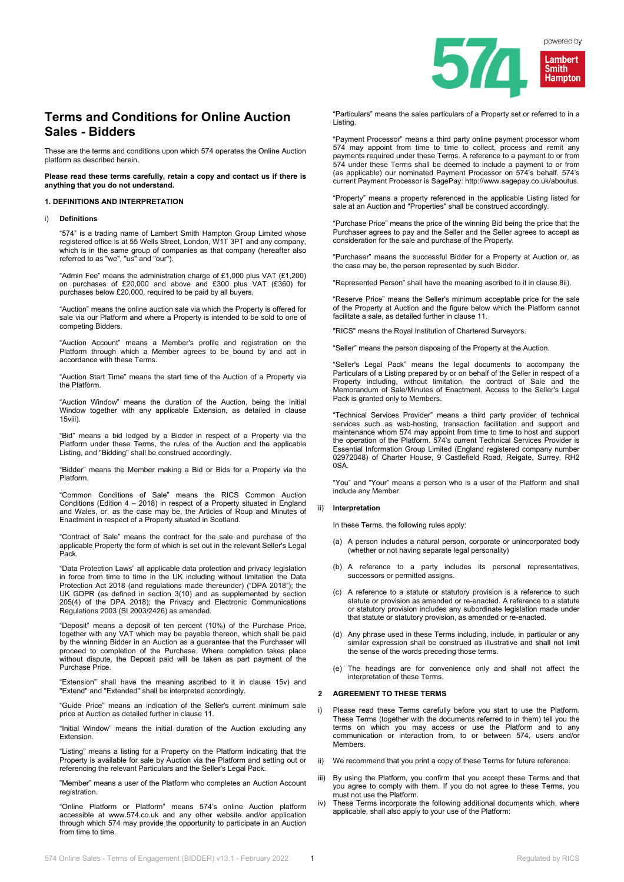

# **Terms and Conditions for Online Auction Sales - Bidders**

These are the terms and conditions upon which 574 operates the Online Auction platform as described herein.

**Please read these terms carefully, retain a copy and contact us if there is anything that you do not understand.** 

#### **1. DEFINITIONS AND INTERPRETATION**

#### i) **Definitions**

"574" is a trading name of Lambert Smith Hampton Group Limited whose registered office is at 55 Wells Street, London, W1T 3PT and any company, which is in the same group of companies as that company (hereafter also referred to as "we", "us" and "our").

"Admin Fee" means the administration charge of £1,000 plus VAT (£1,200) on purchases of £20,000 and above and £300 plus VAT (£360) for purchases below £20,000, required to be paid by all buyers.

"Auction" means the online auction sale via which the Property is offered for sale via our Platform and where a Property is intended to be sold to one of competing Bidders.

"Auction Account" means a Member's profile and registration on the Platform through which a Member agrees to be bound by and act in accordance with these Terms.

"Auction Start Time" means the start time of the Auction of a Property via the Platform.

"Auction Window" means the duration of the Auction, being the Initial Window together with any applicable Extension, as detailed in clause 15viii).

"Bid" means a bid lodged by a Bidder in respect of a Property via the Platform under these Terms, the rules of the Auction and the applicable Listing, and "Bidding" shall be construed accordingly.

"Bidder" means the Member making a Bid or Bids for a Property via the Platform.

"Common Conditions of Sale" means the RICS Common Auction Conditions (Edition 4 – 2018) in respect of a Property situated in England and Wales, or, as the case may be, the Articles of Roup and Minutes of Enactment in respect of a Property situated in Scotland.

"Contract of Sale" means the contract for the sale and purchase of the applicable Property the form of which is set out in the relevant Seller's Legal Pack.

"Data Protection Laws" all applicable data protection and privacy legislation in force from time to time in the UK including without limitation the Data Protection Act 2018 (and regulations made thereunder) ("DPA 2018"); the UK GDPR (as defined in section 3(10) and as supplemented by section 205(4) of the DPA 2018); the Privacy and Electronic Communications Regulations 2003 (SI 2003/2426) as amended.

"Deposit" means a deposit of ten percent (10%) of the Purchase Price, together with any VAT which may be payable thereon, which shall be paid by the winning Bidder in an Auction as a guarantee that the Purchaser will proceed to completion of the Purchase. Where completion takes place without dispute, the Deposit paid will be taken as part payment of the Purchase Price.

"Extension" shall have the meaning ascribed to it in clause 15v) and "Extend" and "Extended" shall be interpreted accordingly.

"Guide Price" means an indication of the Seller's current minimum sale price at Auction as detailed further in clause 11.

"Initial Window" means the initial duration of the Auction excluding any Extension.

"Listing" means a listing for a Property on the Platform indicating that the Property is available for sale by Auction via the Platform and setting out or referencing the relevant Particulars and the Seller's Legal Pack.

"Member" means a user of the Platform who completes an Auction Account registration

"Online Platform or Platform" means 574's online Auction platform accessible at www.574.co.uk and any other website and/or application through which 574 may provide the opportunity to participate in an Auction from time to time.

"Particulars" means the sales particulars of a Property set or referred to in a Listing.

"Payment Processor" means a third party online payment processor whom 574 may appoint from time to time to collect, process and remit any payments required under these Terms. A reference to a payment to or from 574 under these Terms shall be deemed to include a payment to or from (as applicable) our nominated Payment Processor on 574's behalf. 574's current Payment Processor is SagePay: http://www.sagepay.co.uk/aboutus.

"Property" means a property referenced in the applicable Listing listed for sale at an Auction and "Properties" shall be construed accordingly.

"Purchase Price" means the price of the winning Bid being the price that the Purchaser agrees to pay and the Seller and the Seller agrees to accept as consideration for the sale and purchase of the Property.

"Purchaser" means the successful Bidder for a Property at Auction or, as the case may be, the person represented by such Bidder.

"Represented Person" shall have the meaning ascribed to it in clause 8ii).

"Reserve Price" means the Seller's minimum acceptable price for the sale of the Property at Auction and the figure below which the Platform cannot facilitate a sale, as detailed further in clause 11.

"RICS" means the Royal Institution of Chartered Surveyors.

"Seller" means the person disposing of the Property at the Auction.

"Seller's Legal Pack" means the legal documents to accompany the Particulars of a Listing prepared by or on behalf of the Seller in respect of a Property including, without limitation, the contract of Sale and the Memorandum of Sale/Minutes of Enactment. Access to the Seller's Legal Pack is granted only to Members.

"Technical Services Provider" means a third party provider of technical services such as web-hosting, transaction facilitation and support and maintenance whom 574 may appoint from time to time to host and support the operation of the Platform. 574's current Technical Services Provider is Essential Information Group Limited (England registered company number 02972048) of Charter House, 9 Castlefield Road, Reigate, Surrey, RH2 0SA.

"You" and "Your" means a person who is a user of the Platform and shall include any Member.

#### ii) **Interpretation**

In these Terms, the following rules apply:

- (a) A person includes a natural person, corporate or unincorporated body (whether or not having separate legal personality)
- (b) A reference to a party includes its personal representatives, successors or permitted assigns.
- (c) A reference to a statute or statutory provision is a reference to such statute or provision as amended or re-enacted. A reference to a statute or statutory provision includes any subordinate legislation made under that statute or statutory provision, as amended or re-enacted.
- (d) Any phrase used in these Terms including, include, in particular or any similar expression shall be construed as illustrative and shall not limit the sense of the words preceding those terms.
- (e) The headings are for convenience only and shall not affect the interpretation of these Terms.

#### **2 AGREEMENT TO THESE TERMS**

i) Please read these Terms carefully before you start to use the Platform. These Terms (together with the documents referred to in them) tell you the terms on which you may access or use the Platform and to any communication or interaction from, to or between 574, users and/or Members.

ii) We recommend that you print a copy of these Terms for future reference.

- iii) By using the Platform, you confirm that you accept these Terms and that you agree to comply with them. If you do not agree to these Terms, you must not use the Platform.
- iv) These Terms incorporate the following additional documents which, where applicable, shall also apply to your use of the Platform: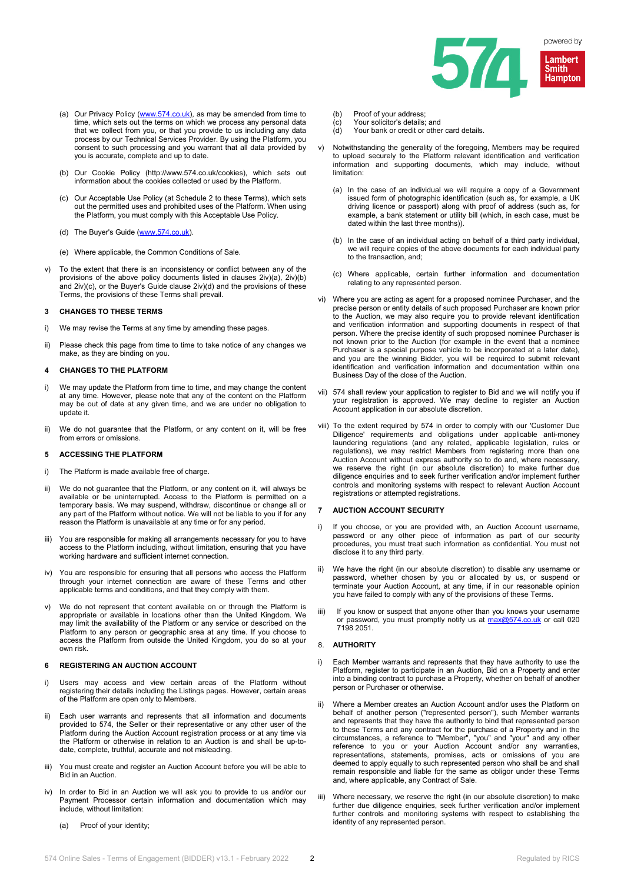powered by **Lambert** Smith<br>Hampton

- (a) Our Privacy Policy (www.574.co.uk), as may be amended from time to time, which sets out the terms on which we process any personal data that we collect from you, or that you provide to us including any data process by our Technical Services Provider. By using the Platform, you consent to such processing and you warrant that all data provided by you is accurate, complete and up to date.
- (b) Our Cookie Policy (http://www.574.co.uk/cookies), which sets out information about the cookies collected or used by the Platform.
- (c) Our Acceptable Use Policy (at Schedule 2 to these Terms), which sets out the permitted uses and prohibited uses of the Platform. When using the Platform, you must comply with this Acceptable Use Policy.
- (d) The Buyer's Guide (www.574.co.uk).
- (e) Where applicable, the Common Conditions of Sale.
- v) To the extent that there is an inconsistency or conflict between any of the provisions of the above policy documents listed in clauses 2iv)(a), 2iv)(b) and 2iv)(c), or the Buyer's Guide clause 2iv)(d) and the provisions of these Terms, the provisions of these Terms shall prevail.

# **3 CHANGES TO THESE TERMS**

- i) We may revise the Terms at any time by amending these pages.
- ii) Please check this page from time to time to take notice of any changes we make, as they are binding on you.

# **4 CHANGES TO THE PLATFORM**

- i) We may update the Platform from time to time, and may change the content at any time. However, please note that any of the content on the Platform may be out of date at any given time, and we are under no obligation to update it.
- ii) We do not guarantee that the Platform, or any content on it, will be free from errors or omissions.

#### **5 ACCESSING THE PLATFORM**

- i) The Platform is made available free of charge.
- ii) We do not guarantee that the Platform, or any content on it, will always be available or be uninterrupted. Access to the Platform is permitted on a temporary basis. We may suspend, withdraw, discontinue or change all or any part of the Platform without notice. We will not be liable to you if for any reason the Platform is unavailable at any time or for any period.
- iii) You are responsible for making all arrangements necessary for you to have access to the Platform including, without limitation, ensuring that you have working hardware and sufficient internet connection.
- iv) You are responsible for ensuring that all persons who access the Platform through your internet connection are aware of these Terms and other applicable terms and conditions, and that they comply with them.
- v) We do not represent that content available on or through the Platform is appropriate or available in locations other than the United Kingdom. We may limit the availability of the Platform or any service or described on the Platform to any person or geographic area at any time. If you choose to access the Platform from outside the United Kingdom, you do so at your own risk.

### **6 REGISTERING AN AUCTION ACCOUNT**

- i) Users may access and view certain areas of the Platform without registering their details including the Listings pages. However, certain areas of the Platform are open only to Members.
- ii) Each user warrants and represents that all information and documents provided to 574, the Seller or their representative or any other user of the Platform during the Auction Account registration process or at any time via the Platform or otherwise in relation to an Auction is and shall be up-todate, complete, truthful, accurate and not misleading.
- iii) You must create and register an Auction Account before you will be able to Bid in an Auction.
- iv) In order to Bid in an Auction we will ask you to provide to us and/or our Payment Processor certain information and documentation which may include, without limitation:
	- (a) Proof of your identity;
- (b) Proof of your address;<br>(c) Your solicitor's details;
- Your solicitor's details; and
- (d) Your bank or credit or other card details.
- v) Notwithstanding the generality of the foregoing, Members may be required to upload securely to the Platform relevant identification and verification information and supporting documents, which may include, without limitation:
	- (a) In the case of an individual we will require a copy of a Government issued form of photographic identification (such as, for example, a UK driving licence or passport) along with proof of address (such as, for example, a bank statement or utility bill (which, in each case, must be dated within the last three months)).
	- (b) In the case of an individual acting on behalf of a third party individual, we will require copies of the above documents for each individual party to the transaction, and;
	- (c) Where applicable, certain further information and documentation relating to any represented person.
- vi) Where you are acting as agent for a proposed nominee Purchaser, and the precise person or entity details of such proposed Purchaser are known prior to the Auction, we may also require you to provide relevant identification and verification information and supporting documents in respect of that person. Where the precise identity of such proposed nominee Purchaser is not known prior to the Auction (for example in the event that a nominee Purchaser is a special purpose vehicle to be incorporated at a later date), and you are the winning Bidder, you will be required to submit relevant identification and verification information and documentation within one Business Day of the close of the Auction.
- vii) 574 shall review your application to register to Bid and we will notify you if your registration is approved. We may decline to register an Auction Account application in our absolute discretion.
- viii) To the extent required by 574 in order to comply with our 'Customer Due Diligence' requirements and obligations under applicable anti-money laundering regulations (and any related, applicable legislation, rules or regulations), we may restrict Members from registering more than one Auction Account without express authority so to do and, where necessary, we reserve the right (in our absolute discretion) to make further due diligence enquiries and to seek further verification and/or implement further controls and monitoring systems with respect to relevant Auction Account registrations or attempted registrations.

# **7 AUCTION ACCOUNT SECURITY**

- i) If you choose, or you are provided with, an Auction Account username, password or any other piece of information as part of our security procedures, you must treat such information as confidential. You must not disclose it to any third party.
- ii) We have the right (in our absolute discretion) to disable any username or password, whether chosen by you or allocated by us, or suspend or terminate your Auction Account, at any time, if in our reasonable opinion you have failed to comply with any of the provisions of these Terms.
- iii) If you know or suspect that anyone other than you knows your username or password, you must promptly notify us at  $max@574.co.uk$  or call 020 7198 2051.

# 8. **AUTHORITY**

- i) Each Member warrants and represents that they have authority to use the Platform, register to participate in an Auction, Bid on a Property and enter into a binding contract to purchase a Property, whether on behalf of another person or Purchaser or otherwise.
- ii) Where a Member creates an Auction Account and/or uses the Platform on behalf of another person ("represented person"), such Member warrants and represents that they have the authority to bind that represented person to these Terms and any contract for the purchase of a Property and in the circumstances, a reference to "Member", "you" and "your" and any other reference to you or your Auction Account and/or any warranties, representations, statements, promises, acts or omissions of you are deemed to apply equally to such represented person who shall be and shall remain responsible and liable for the same as obligor under these Terms and, where applicable, any Contract of Sale.
- iii) Where necessary, we reserve the right (in our absolute discretion) to make further due diligence enquiries, seek further verification and/or implement further controls and monitoring systems with respect to establishing the identity of any represented person.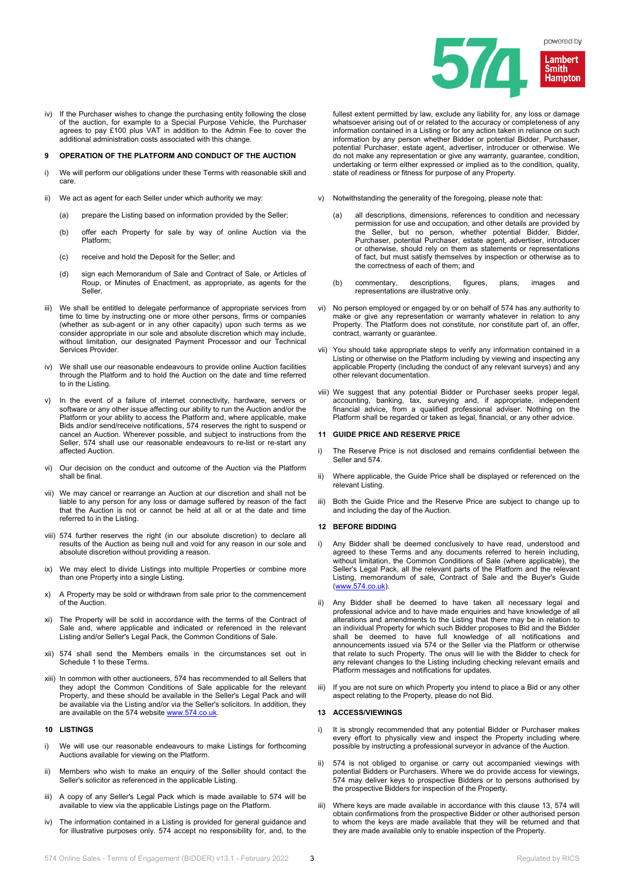

iv) If the Purchaser wishes to change the purchasing entity following the close of the auction, for example to a Special Purpose Vehicle, the Purchaser agrees to pay £100 plus VAT in addition to the Admin Fee to cover the additional administration costs associated with this change.

### **9 OPERATION OF THE PLATFORM AND CONDUCT OF THE AUCTION**

- i) We will perform our obligations under these Terms with reasonable skill and care.
- ii) We act as agent for each Seller under which authority we may:
	- (a) prepare the Listing based on information provided by the Seller:
	- (b) offer each Property for sale by way of online Auction via the Platform;
	- (c) receive and hold the Deposit for the Seller; and
	- (d) sign each Memorandum of Sale and Contract of Sale, or Articles of Roup, or Minutes of Enactment, as appropriate, as agents for the Seller.
- iii) We shall be entitled to delegate performance of appropriate services from time to time by instructing one or more other persons, firms or companies (whether as sub-agent or in any other capacity) upon such terms as we consider appropriate in our sole and absolute discretion which may include, without limitation, our designated Payment Processor and our Technical Services Provider.
- iv) We shall use our reasonable endeavours to provide online Auction facilities through the Platform and to hold the Auction on the date and time referred to in the Listing.
- v) In the event of a failure of internet connectivity, hardware, servers or software or any other issue affecting our ability to run the Auction and/or the Platform or your ability to access the Platform and, where applicable, make Bids and/or send/receive notifications, 574 reserves the right to suspend or cancel an Auction. Wherever possible, and subject to instructions from the Seller, 574 shall use our reasonable endeavours to re-list or re-start any affected Auction.
- vi) Our decision on the conduct and outcome of the Auction via the Platform shall be final.
- vii) We may cancel or rearrange an Auction at our discretion and shall not be liable to any person for any loss or damage suffered by reason of the fact that the Auction is not or cannot be held at all or at the date and time referred to in the Listing.
- viii) 574 further reserves the right (in our absolute discretion) to declare all results of the Auction as being null and void for any reason in our sole and absolute discretion without providing a reason.
- ix) We may elect to divide Listings into multiple Properties or combine more than one Property into a single Listing.
- x) A Property may be sold or withdrawn from sale prior to the commencement of the Auction.
- xi) The Property will be sold in accordance with the terms of the Contract of Sale and, where applicable and indicated or referenced in the relevant Listing and/or Seller's Legal Pack, the Common Conditions of Sale.
- xii) 574 shall send the Members emails in the circumstances set out in Schedule 1 to these Terms.
- xiii) In common with other auctioneers, 574 has recommended to all Sellers that they adopt the Common Conditions of Sale applicable for the relevant Property, and these should be available in the Seller's Legal Pack and will be available via the Listing and/or via the Seller's solicitors. In addition, they are available on the 574 website www.574.co.uk.

# **10 LISTINGS**

- i) We will use our reasonable endeavours to make Listings for forthcoming Auctions available for viewing on the Platform.
- ii) Members who wish to make an enquiry of the Seller should contact the Seller's solicitor as referenced in the applicable Listing.
- iii) A copy of any Seller's Legal Pack which is made available to 574 will be available to view via the applicable Listings page on the Platform.
- iv) The information contained in a Listing is provided for general guidance and for illustrative purposes only. 574 accept no responsibility for, and, to the

fullest extent permitted by law, exclude any liability for, any loss or damage whatsoever arising out of or related to the accuracy or completeness of any information contained in a Listing or for any action taken in reliance on such information by any person whether Bidder or potential Bidder, Purchaser, potential Purchaser, estate agent, advertiser, introducer or otherwise. We do not make any representation or give any warranty, guarantee, condition, undertaking or term either expressed or implied as to the condition, quality, state of readiness or fitness for purpose of any Property.

- v) Notwithstanding the generality of the foregoing, please note that:
	- (a) all descriptions, dimensions, references to condition and necessary permission for use and occupation, and other details are provided by the Seller, but no person, whether potential Bidder, Bidder, Purchaser, potential Purchaser, estate agent, advertiser, introducer or otherwise, should rely on them as statements or representations of fact, but must satisfy themselves by inspection or otherwise as to the correctness of each of them; and
	- (b) commentary, descriptions, figures, plans, images and representations are illustrative only.
- vi) No person employed or engaged by or on behalf of 574 has any authority to make or give any representation or warranty whatever in relation to any Property. The Platform does not constitute, nor constitute part of, an offer, contract, warranty or guarantee.
- vii) You should take appropriate steps to verify any information contained in a Listing or otherwise on the Platform including by viewing and inspecting any applicable Property (including the conduct of any relevant surveys) and any other relevant documentation.
- viii) We suggest that any potential Bidder or Purchaser seeks proper legal, accounting, banking, tax, surveying and, if appropriate, independent financial advice, from a qualified professional adviser. Nothing on the Platform shall be regarded or taken as legal, financial, or any other advice.

#### **11 GUIDE PRICE AND RESERVE PRICE**

- i) The Reserve Price is not disclosed and remains confidential between the Seller and 574.
- ii) Where applicable, the Guide Price shall be displayed or referenced on the relevant Listing.
- iii) Both the Guide Price and the Reserve Price are subject to change up to and including the day of the Auction.

# **12 BEFORE BIDDING**

- i) Any Bidder shall be deemed conclusively to have read, understood and agreed to these Terms and any documents referred to herein including, without limitation, the Common Conditions of Sale (where applicable), the Seller's Legal Pack, all the relevant parts of the Platform and the relevant Listing, memorandum of sale, Contract of Sale and the Buyer's Guide (www.574.co.uk).
- ii) Any Bidder shall be deemed to have taken all necessary legal and professional advice and to have made enquiries and have knowledge of all alterations and amendments to the Listing that there may be in relation to an individual Property for which such Bidder proposes to Bid and the Bidder shall be deemed to have full knowledge of all notifications and announcements issued via 574 or the Seller via the Platform or otherwise that relate to such Property. The onus will lie with the Bidder to check for any relevant changes to the Listing including checking relevant emails and Platform messages and notifications for updates.
- iii) If you are not sure on which Property you intend to place a Bid or any other aspect relating to the Property, please do not Bid.

#### **13 ACCESS/VIEWINGS**

- i) It is strongly recommended that any potential Bidder or Purchaser makes every effort to physically view and inspect the Property including where possible by instructing a professional surveyor in advance of the Auction.
- ii) 574 is not obliged to organise or carry out accompanied viewings with potential Bidders or Purchasers. Where we do provide access for viewings, 574 may deliver keys to prospective Bidders or to persons authorised by the prospective Bidders for inspection of the Property.
- iii) Where keys are made available in accordance with this clause 13, 574 will obtain confirmations from the prospective Bidder or other authorised person to whom the keys are made available that they will be returned and that they are made available only to enable inspection of the Property.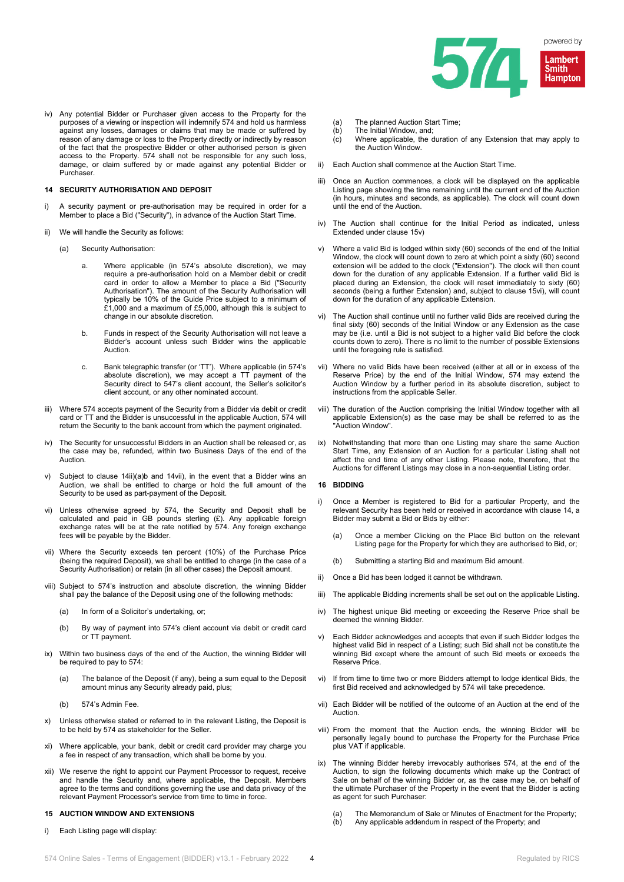

iv) Any potential Bidder or Purchaser given access to the Property for the purposes of a viewing or inspection will indemnify 574 and hold us harmless against any losses, damages or claims that may be made or suffered by reason of any damage or loss to the Property directly or indirectly by reason of the fact that the prospective Bidder or other authorised person is given access to the Property. 574 shall not be responsible for any such loss, damage, or claim suffered by or made against any potential Bidder or Purchaser.

### **14 SECURITY AUTHORISATION AND DEPOSIT**

- i) A security payment or pre-authorisation may be required in order for a Member to place a Bid ("Security"), in advance of the Auction Start Time.
- ii) We will handle the Security as follows:
	- (a) Security Authorisation:
		- a. Where applicable (in 574's absolute discretion), we may require a pre-authorisation hold on a Member debit or credit card in order to allow a Member to place a Bid ("Security Authorisation"). The amount of the Security Authorisation will typically be 10% of the Guide Price subject to a minimum of £1,000 and a maximum of £5,000, although this is subject to change in our absolute discretion.
		- b. Funds in respect of the Security Authorisation will not leave a Bidder's account unless such Bidder wins the applicable Auction.
		- c. Bank telegraphic transfer (or 'TT'). Where applicable (in 574's absolute discretion), we may accept a TT payment of the Security direct to 547's client account, the Seller's solicitor's client account, or any other nominated account.
- iii) Where 574 accepts payment of the Security from a Bidder via debit or credit card or TT and the Bidder is unsuccessful in the applicable Auction, 574 will return the Security to the bank account from which the payment originated.
- iv) The Security for unsuccessful Bidders in an Auction shall be released or, as the case may be, refunded, within two Business Days of the end of the Auction.
- v) Subject to clause 14ii)(a)b and 14vii), in the event that a Bidder wins an Auction, we shall be entitled to charge or hold the full amount of the Security to be used as part-payment of the Deposit.
- vi) Unless otherwise agreed by 574, the Security and Deposit shall be calculated and paid in GB pounds sterling (£). Any applicable foreign exchange rates will be at the rate notified by 574. Any foreign exchange fees will be payable by the Bidder.
- vii) Where the Security exceeds ten percent (10%) of the Purchase Price (being the required Deposit), we shall be entitled to charge (in the case of a Security Authorisation) or retain (in all other cases) the Deposit amount.
- viii) Subject to 574's instruction and absolute discretion, the winning Bidder shall pay the balance of the Deposit using one of the following methods:
	- (a) In form of a Solicitor's undertaking, or;
	- (b) By way of payment into 574's client account via debit or credit card or TT payment.
- ix) Within two business days of the end of the Auction, the winning Bidder will be required to pay to 574:
	- (a) The balance of the Deposit (if any), being a sum equal to the Deposit amount minus any Security already paid, plus;
	- (b) 574's Admin Fee.
- x) Unless otherwise stated or referred to in the relevant Listing, the Deposit is to be held by 574 as stakeholder for the Seller.
- xi) Where applicable, your bank, debit or credit card provider may charge you a fee in respect of any transaction, which shall be borne by you.
- xii) We reserve the right to appoint our Payment Processor to request, receive and handle the Security and, where applicable, the Deposit. Members agree to the terms and conditions governing the use and data privacy of the relevant Payment Processor's service from time to time in force.

#### **15 AUCTION WINDOW AND EXTENSIONS**

i) Each Listing page will display:

- (a) The planned Auction Start Time;
- (b) The Initial Window, and;
- (c) Where applicable, the duration of any Extension that may apply to the Auction Window.
- ii) Each Auction shall commence at the Auction Start Time.
- iii) Once an Auction commences, a clock will be displayed on the applicable Listing page showing the time remaining until the current end of the Auction (in hours, minutes and seconds, as applicable). The clock will count down until the end of the Auction.
- iv) The Auction shall continue for the Initial Period as indicated, unless Extended under clause 15v)
- v) Where a valid Bid is lodged within sixty (60) seconds of the end of the Initial Window, the clock will count down to zero at which point a sixty (60) second extension will be added to the clock ("Extension"). The clock will then count down for the duration of any applicable Extension. If a further valid Bid is placed during an Extension, the clock will reset immediately to sixty (60) seconds (being a further Extension) and, subject to clause 15vi), will count down for the duration of any applicable Extension.
- vi) The Auction shall continue until no further valid Bids are received during the final sixty (60) seconds of the Initial Window or any Extension as the case may be (i.e. until a Bid is not subject to a higher valid Bid before the clock counts down to zero). There is no limit to the number of possible Extensions until the foregoing rule is satisfied.
- vii) Where no valid Bids have been received (either at all or in excess of the Reserve Price) by the end of the Initial Window, 574 may extend the Auction Window by a further period in its absolute discretion, subject to instructions from the applicable Seller.
- viii) The duration of the Auction comprising the Initial Window together with all applicable Extension(s) as the case may be shall be referred to as the "Auction Window".
- ix) Notwithstanding that more than one Listing may share the same Auction Start Time, any Extension of an Auction for a particular Listing shall not affect the end time of any other Listing. Please note, therefore, that the Auctions for different Listings may close in a non-sequential Listing order.

#### **16 BIDDING**

- i) Once a Member is registered to Bid for a particular Property, and the relevant Security has been held or received in accordance with clause 14, a Bidder may submit a Bid or Bids by either:
	- (a) Once a member Clicking on the Place Bid button on the relevant Listing page for the Property for which they are authorised to Bid, or;
	- (b) Submitting a starting Bid and maximum Bid amount.
- ii) Once a Bid has been lodged it cannot be withdrawn.
- iii) The applicable Bidding increments shall be set out on the applicable Listing.
- iv) The highest unique Bid meeting or exceeding the Reserve Price shall be deemed the winning Bidder.
- v) Each Bidder acknowledges and accepts that even if such Bidder lodges the highest valid Bid in respect of a Listing; such Bid shall not be constitute the winning Bid except where the amount of such Bid meets or exceeds the Reserve Price.
- vi) If from time to time two or more Bidders attempt to lodge identical Bids, the first Bid received and acknowledged by 574 will take precedence.
- vii) Each Bidder will be notified of the outcome of an Auction at the end of the Auction.
- viii) From the moment that the Auction ends, the winning Bidder will be personally legally bound to purchase the Property for the Purchase Price plus VAT if applicable.
- ix) The winning Bidder hereby irrevocably authorises 574, at the end of the Auction, to sign the following documents which make up the Contract of Sale on behalf of the winning Bidder or, as the case may be, on behalf of the ultimate Purchaser of the Property in the event that the Bidder is acting as agent for such Purchaser:
	- (a) The Memorandum of Sale or Minutes of Enactment for the Property;<br>(b) Any applicable addendum in respect of the Property: and Any applicable addendum in respect of the Property; and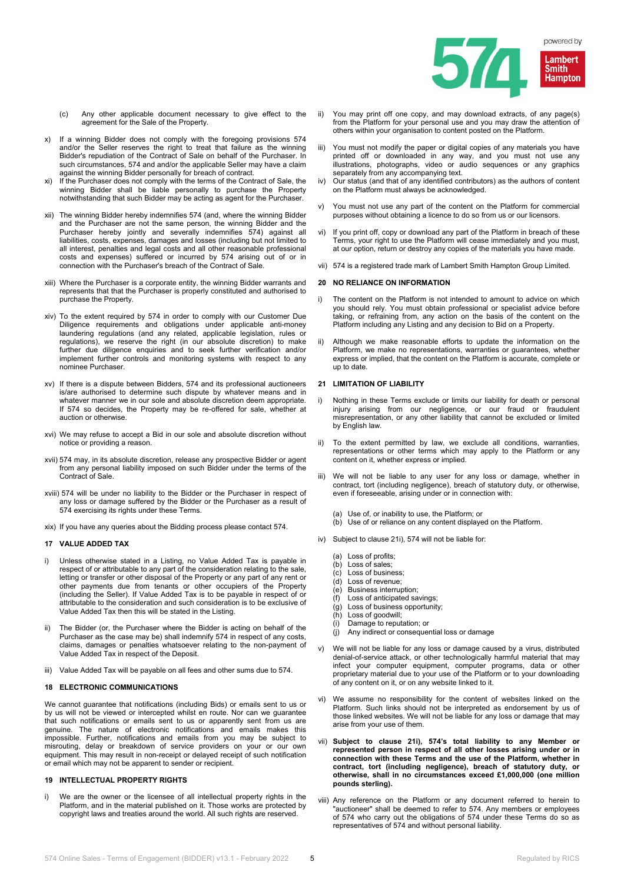

- (c) Any other applicable document necessary to give effect to the agreement for the Sale of the Property.
- x) If a winning Bidder does not comply with the foregoing provisions 574 and/or the Seller reserves the right to treat that failure as the winning Bidder's repudiation of the Contract of Sale on behalf of the Purchaser. In such circumstances, 574 and and/or the applicable Seller may have a claim against the winning Bidder personally for breach of contract.
- xi) If the Purchaser does not comply with the terms of the Contract of Sale, the winning Bidder shall be liable personally to purchase the Property notwithstanding that such Bidder may be acting as agent for the Purchaser.
- xii) The winning Bidder hereby indemnifies 574 (and, where the winning Bidder and the Purchaser are not the same person, the winning Bidder and the Purchaser hereby jointly and severally indemnifies 574) against all liabilities, costs, expenses, damages and losses (including but not limited to all interest, penalties and legal costs and all other reasonable professional costs and expenses) suffered or incurred by 574 arising out of or in connection with the Purchaser's breach of the Contract of Sale.
- xiii) Where the Purchaser is a corporate entity, the winning Bidder warrants and represents that that the Purchaser is properly constituted and authorised to purchase the Property.
- xiv) To the extent required by 574 in order to comply with our Customer Due Diligence requirements and obligations under applicable anti-money laundering regulations (and any related, applicable legislation, rules or regulations), we reserve the right (in our absolute discretion) to make further due diligence enquiries and to seek further verification and/or implement further controls and monitoring systems with respect to any nominee Purchaser.
- xv) If there is a dispute between Bidders, 574 and its professional auctioneers is/are authorised to determine such dispute by whatever means and in whatever manner we in our sole and absolute discretion deem appropriate. If 574 so decides, the Property may be re-offered for sale, whether at auction or otherwise.
- xvi) We may refuse to accept a Bid in our sole and absolute discretion without notice or providing a reason.
- xvii) 574 may, in its absolute discretion, release any prospective Bidder or agent from any personal liability imposed on such Bidder under the terms of the Contract of Sale.
- xviii) 574 will be under no liability to the Bidder or the Purchaser in respect of any loss or damage suffered by the Bidder or the Purchaser as a result of 574 exercising its rights under these Terms.
- xix) If you have any queries about the Bidding process please contact 574.

#### **17 VALUE ADDED TAX**

- i) Unless otherwise stated in a Listing, no Value Added Tax is payable in respect of or attributable to any part of the consideration relating to the sale, letting or transfer or other disposal of the Property or any part of any rent or other payments due from tenants or other occupiers of the Property (including the Seller). If Value Added Tax is to be payable in respect of or attributable to the consideration and such consideration is to be exclusive of Value Added Tax then this will be stated in the Listing.
- The Bidder (or, the Purchaser where the Bidder is acting on behalf of the Purchaser as the case may be) shall indemnify 574 in respect of any costs, claims, damages or penalties whatsoever relating to the non-payment of Value Added Tax in respect of the Deposit.
- iii) Value Added Tax will be payable on all fees and other sums due to 574.

# **18 ELECTRONIC COMMUNICATIONS**

We cannot guarantee that notifications (including Bids) or emails sent to us or by us will not be viewed or intercepted whilst en route. Nor can we guarantee that such notifications or emails sent to us or apparently sent from us are genuine. The nature of electronic notifications and emails makes this impossible. Further, notifications and emails from you may be subject to misrouting, delay or breakdown of service providers on your or our own equipment. This may result in non-receipt or delayed receipt of such notification or email which may not be apparent to sender or recipient.

# **19 INTELLECTUAL PROPERTY RIGHTS**

i) We are the owner or the licensee of all intellectual property rights in the Platform, and in the material published on it. Those works are protected by copyright laws and treaties around the world. All such rights are reserved.

- ii) You may print off one copy, and may download extracts, of any page(s) from the Platform for your personal use and you may draw the attention of others within your organisation to content posted on the Platform.
- iii) You must not modify the paper or digital copies of any materials you have printed off or downloaded in any way, and you must not use any illustrations, photographs, video or audio sequences or any graphics separately from any accompanying text.
- iv) Our status (and that of any identified contributors) as the authors of content on the Platform must always be acknowledged.
- v) You must not use any part of the content on the Platform for commercial purposes without obtaining a licence to do so from us or our licensors.
- vi) If you print off, copy or download any part of the Platform in breach of these Terms, your right to use the Platform will cease immediately and you must, at our option, return or destroy any copies of the materials you have made.
- vii) 574 is a registered trade mark of Lambert Smith Hampton Group Limited.

#### **20 NO RELIANCE ON INFORMATION**

- i) The content on the Platform is not intended to amount to advice on which you should rely. You must obtain professional or specialist advice before taking, or refraining from, any action on the basis of the content on the Platform including any Listing and any decision to Bid on a Property.
- ii) Although we make reasonable efforts to update the information on the Platform, we make no representations, warranties or guarantees, whether express or implied, that the content on the Platform is accurate, complete or up to date.

#### **21 LIMITATION OF LIABILITY**

- i) Nothing in these Terms exclude or limits our liability for death or personal injury arising from our negligence, or our fraud or fraudulent misrepresentation, or any other liability that cannot be excluded or limited by English law.
- ii) To the extent permitted by law, we exclude all conditions, warranties, representations or other terms which may apply to the Platform or any content on it, whether express or implied.
- iii) We will not be liable to any user for any loss or damage, whether in contract, tort (including negligence), breach of statutory duty, or otherwise, even if foreseeable, arising under or in connection with:
	- (a) Use of, or inability to use, the Platform; or
	- (b) Use of or reliance on any content displayed on the Platform.
- iv) Subject to clause 21i), 574 will not be liable for:
	- (a) Loss of profits;
	- (b) Loss of sales;
	- (c) Loss of business;<br>(d) Loss of revenue
	- Loss of revenue;
	- (e) Business interruption;
	- (f) Loss of anticipated savings;
	- (g) Loss of business opportunity;<br>(h) Loss of goodwill:
	- (h) Loss of goodwill;<br>(i) Damage to reput Damage to reputation; or
	- (j) Any indirect or consequential loss or damage
- v) We will not be liable for any loss or damage caused by a virus, distributed denial-of-service attack, or other technologically harmful material that may infect your computer equipment, computer programs, data or other proprietary material due to your use of the Platform or to your downloading of any content on it, or on any website linked to it.
- vi) We assume no responsibility for the content of websites linked on the Platform. Such links should not be interpreted as endorsement by us of those linked websites. We will not be liable for any loss or damage that may arise from your use of them.
- vii) **Subject to clause 21i), 574's total liability to any Member or represented person in respect of all other losses arising under or in connection with these Terms and the use of the Platform, whether in contract, tort (including negligence), breach of statutory duty, or otherwise, shall in no circumstances exceed £1,000,000 (one million pounds sterling).**
- viii) Any reference on the Platform or any document referred to herein to "auctioneer" shall be deemed to refer to 574. Any members or employees of 574 who carry out the obligations of 574 under these Terms do so as representatives of 574 and without personal liability.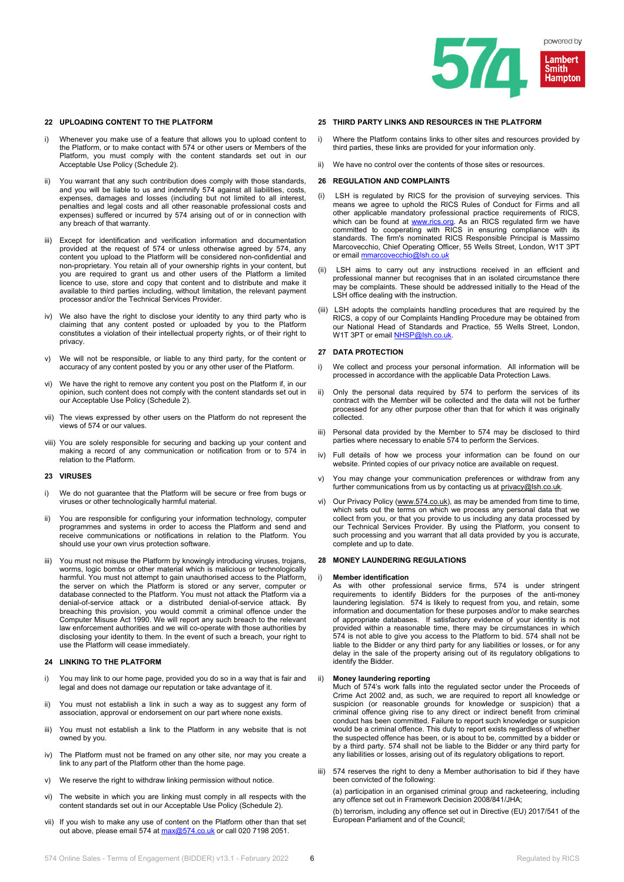

#### **22 UPLOADING CONTENT TO THE PLATFORM**

- i) Whenever you make use of a feature that allows you to upload content to the Platform, or to make contact with 574 or other users or Members of the Platform, you must comply with the content standards set out in our Acceptable Use Policy (Schedule 2).
- ii) You warrant that any such contribution does comply with those standards, and you will be liable to us and indemnify 574 against all liabilities, costs, expenses, damages and losses (including but not limited to all interest, penalties and legal costs and all other reasonable professional costs and expenses) suffered or incurred by 574 arising out of or in connection with any breach of that warranty.
- iii) Except for identification and verification information and documentation provided at the request of 574 or unless otherwise agreed by 574, any content you upload to the Platform will be considered non-confidential and non-proprietary. You retain all of your ownership rights in your content, but you are required to grant us and other users of the Platform a limited licence to use, store and copy that content and to distribute and make it available to third parties including, without limitation, the relevant payment processor and/or the Technical Services Provider.
- iv) We also have the right to disclose your identity to any third party who is claiming that any content posted or uploaded by you to the Platform constitutes a violation of their intellectual property rights, or of their right to privacy.
- v) We will not be responsible, or liable to any third party, for the content or accuracy of any content posted by you or any other user of the Platform.
- vi) We have the right to remove any content you post on the Platform if, in our opinion, such content does not comply with the content standards set out in our Acceptable Use Policy (Schedule 2).
- vii) The views expressed by other users on the Platform do not represent the views of 574 or our values.
- viii) You are solely responsible for securing and backing up your content and making a record of any communication or notification from or to 574 in relation to the Platform.

#### **23 VIRUSES**

- i) We do not guarantee that the Platform will be secure or free from bugs or viruses or other technologically harmful material.
- ii) You are responsible for configuring your information technology, computer programmes and systems in order to access the Platform and send and receive communications or notifications in relation to the Platform. You should use your own virus protection software.
- iii) You must not misuse the Platform by knowingly introducing viruses, trojans, worms, logic bombs or other material which is malicious or technologically harmful. You must not attempt to gain unauthorised access to the Platform, the server on which the Platform is stored or any server, computer or database connected to the Platform. You must not attack the Platform via a denial-of-service attack or a distributed denial-of-service attack. By breaching this provision, you would commit a criminal offence under the Computer Misuse Act 1990. We will report any such breach to the relevant law enforcement authorities and we will co-operate with those authorities by disclosing your identity to them. In the event of such a breach, your right to use the Platform will cease immediately.

#### **24 LINKING TO THE PLATFORM**

- i) You may link to our home page, provided you do so in a way that is fair and legal and does not damage our reputation or take advantage of it.
- ii) You must not establish a link in such a way as to suggest any form of association, approval or endorsement on our part where none exists.
- iii) You must not establish a link to the Platform in any website that is not owned by you.
- iv) The Platform must not be framed on any other site, nor may you create a link to any part of the Platform other than the home page.
- v) We reserve the right to withdraw linking permission without notice.
- vi) The website in which you are linking must comply in all respects with the content standards set out in our Acceptable Use Policy (Schedule 2).
- vii) If you wish to make any use of content on the Platform other than that set out above, please email 574 at max@574.co.uk or call 020 7198 2051.

# **25 THIRD PARTY LINKS AND RESOURCES IN THE PLATFORM**

- i) Where the Platform contains links to other sites and resources provided by third parties, these links are provided for your information only.
- ii) We have no control over the contents of those sites or resources.

#### **26 REGULATION AND COMPLAINTS**

- (i) LSH is regulated by RICS for the provision of surveying services. This means we agree to uphold the RICS Rules of Conduct for Firms and all other applicable mandatory professional practice requirements of RICS, which can be found at **www.rics.org**. As an RICS regulated firm we have committed to cooperating with RICS in ensuring compliance with its standards. The firm's nominated RICS Responsible Principal is Massimo Marcovecchio, Chief Operating Officer, 55 Wells Street, London, W1T 3PT or email mmarcovecchio@lsh.co.u*k*
- (ii) LSH aims to carry out any instructions received in an efficient and professional manner but recognises that in an isolated circumstance there may be complaints. These should be addressed initially to the Head of the LSH office dealing with the instruction.
- (iii) LSH adopts the complaints handling procedures that are required by the RICS, a copy of our Complaints Handling Procedure may be obtained from our National Head of Standards and Practice, 55 Wells Street, London, W1T 3PT or email **NHSP@Ish.co.uk.**

#### **27 DATA PROTECTION**

- i) We collect and process your personal information. All information will be processed in accordance with the applicable Data Protection Laws.
- ii) Only the personal data required by 574 to perform the services of its contract with the Member will be collected and the data will not be further processed for any other purpose other than that for which it was originally collected.
- iii) Personal data provided by the Member to 574 may be disclosed to third parties where necessary to enable 574 to perform the Services.
- iv) Full details of how we process your information can be found on our website. Printed copies of our privacy notice are available on request.
- v) You may change your communication preferences or withdraw from any further communications from us by contacting us at privacy@lsh.co.uk
- vi) Our Privacy Policy (www.574.co.uk), as may be amended from time to time, which sets out the terms on which we process any personal data that we collect from you, or that you provide to us including any data processed by our Technical Services Provider. By using the Platform, you consent to such processing and you warrant that all data provided by you is accurate, complete and up to date.

#### **28 MONEY LAUNDERING REGULATIONS**

#### i) **Member identification**

As with other professional service firms, 574 is under stringent requirements to identify Bidders for the purposes of the anti-money laundering legislation. 574 is likely to request from you, and retain, some information and documentation for these purposes and/or to make searches of appropriate databases. If satisfactory evidence of your identity is not provided within a reasonable time, there may be circumstances in which 574 is not able to give you access to the Platform to bid. 574 shall not be liable to the Bidder or any third party for any liabilities or losses, or for any delay in the sale of the property arising out of its regulatory obligations to identify the Bidder.

#### **Money laundering reporting**

Much of 574's work falls into the regulated sector under the Proceeds of Crime Act 2002 and, as such, we are required to report all knowledge or suspicion (or reasonable grounds for knowledge or suspicion) that a criminal offence giving rise to any direct or indirect benefit from criminal conduct has been committed. Failure to report such knowledge or suspicion would be a criminal offence. This duty to report exists regardless of whether the suspected offence has been, or is about to be, committed by a bidder or by a third party. 574 shall not be liable to the Bidder or any third party for any liabilities or losses, arising out of its regulatory obligations to report.

iii) 574 reserves the right to deny a Member authorisation to bid if they have been convicted of the following:

(a) participation in an organised criminal group and racketeering, including any offence set out in Framework Decision 2008/841/JHA;

(b) terrorism, including any offence set out in Directive (EU) 2017/541 of the European Parliament and of the Council;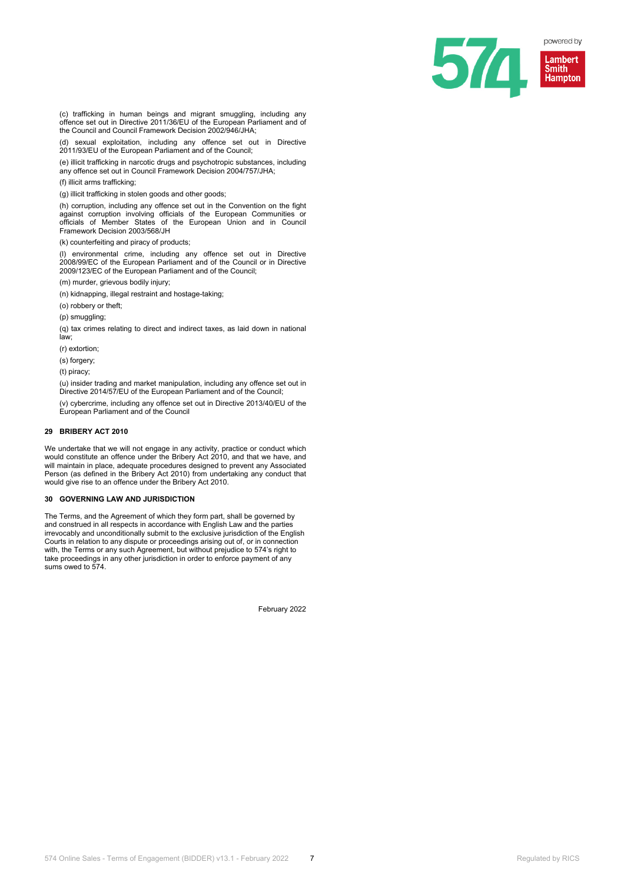

(c) trafficking in human beings and migrant smuggling, including any offence set out in Directive 2011/36/EU of the European Parliament and of the Council and Council Framework Decision 2002/946/JHA;

(d) sexual exploitation, including any offence set out in Directive 2011/93/EU of the European Parliament and of the Council;

(e) illicit trafficking in narcotic drugs and psychotropic substances, including any offence set out in Council Framework Decision 2004/757/JHA;

(f) illicit arms trafficking;

(g) illicit trafficking in stolen goods and other goods;

(h) corruption, including any offence set out in the Convention on the fight against corruption involving officials of the European Communities or officials of Member States of the European Union and in Council Framework Decision 2003/568/JH

(k) counterfeiting and piracy of products;

(l) environmental crime, including any offence set out in Directive 2008/99/EC of the European Parliament and of the Council or in Directive 2009/123/EC of the European Parliament and of the Council;

(m) murder, grievous bodily injury;

(n) kidnapping, illegal restraint and hostage-taking;

(o) robbery or theft;

(p) smuggling;

(q) tax crimes relating to direct and indirect taxes, as laid down in national law;

(r) extortion;

(s) forgery;

(t) piracy;

(u) insider trading and market manipulation, including any offence set out in Directive 2014/57/EU of the European Parliament and of the Council;

(v) cybercrime, including any offence set out in Directive 2013/40/EU of the European Parliament and of the Council

# **29 BRIBERY ACT 2010**

We undertake that we will not engage in any activity, practice or conduct which would constitute an offence under the Bribery Act 2010, and that we have, and will maintain in place, adequate procedures designed to prevent any Associated Person (as defined in the Bribery Act 2010) from undertaking any conduct that would give rise to an offence under the Bribery Act 2010.

#### **30 GOVERNING LAW AND JURISDICTION**

The Terms, and the Agreement of which they form part, shall be governed by and construed in all respects in accordance with English Law and the parties irrevocably and unconditionally submit to the exclusive jurisdiction of the English Courts in relation to any dispute or proceedings arising out of, or in connection with, the Terms or any such Agreement, but without prejudice to 574's right to take proceedings in any other jurisdiction in order to enforce payment of any sums owed to 574.

February 2022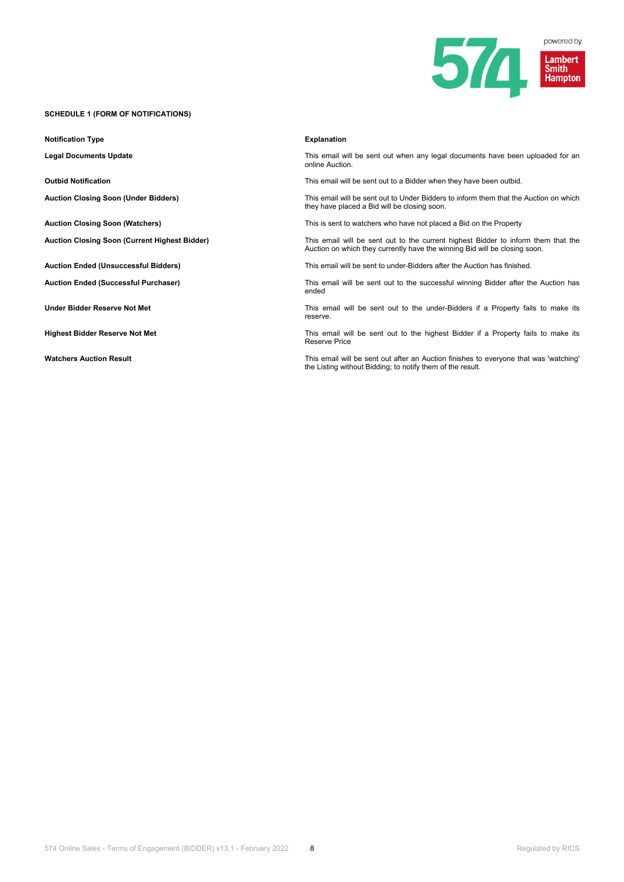

# **SCHEDULE 1 (FORM OF NOTIFICATIONS)**

**Notification Type Explanation Explanation Explanation** 

Legal Documents Update **This email will be sent out when any legal documents have been uploaded for an** online Auction.

**Outbid Notification This email will be sent out to a Bidder when they have been outbid.** 

**Auction Closing Soon (Under Bidders)** This email will be sent out to Under Bidders to inform them that the Auction on which they have placed a Bid will be closing soon.

**Auction Closing Soon (Watchers)** This is sent to watchers who have not placed a Bid on the Property

**Auction Closing Soon (Current Highest Bidder)** This email will be sent out to the current highest Bidder to inform them that the Auction on which they currently have the winning Bid will be closing soon.

**Auction Ended (Unsuccessful Bidders)** This email will be sent to under-Bidders after the Auction has finished.

**Auction Ended (Successful Purchaser)** This email will be sent out to the successful winning Bidder after the Auction has ended

**Under Bidder Reserve Not Met This email will be sent out to the under-Bidders if a Property fails to make its** reserve.

**Highest Bidder Reserve Not Met** This email will be sent out to the highest Bidder if a Property fails to make its Reserve Price

**Watchers Auction Result This email will be sent out after an Auction finishes to everyone that was 'watching'** the Listing without Bidding; to notify them of the result.